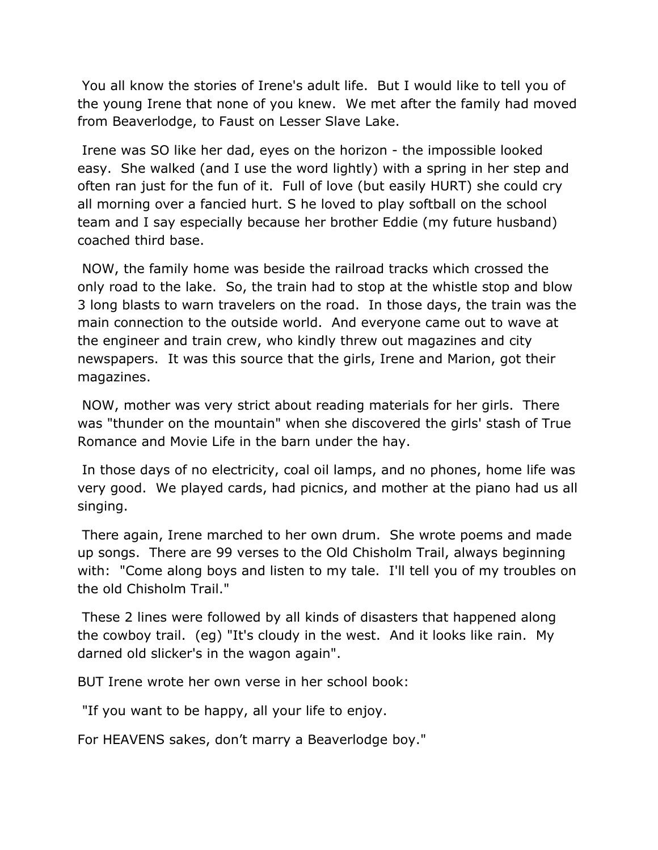You all know the stories of Irene's adult life. But I would like to tell you of the young Irene that none of you knew. We met after the family had moved from Beaverlodge, to Faust on Lesser Slave Lake.

 Irene was SO like her dad, eyes on the horizon - the impossible looked easy. She walked (and I use the word lightly) with a spring in her step and often ran just for the fun of it. Full of love (but easily HURT) she could cry all morning over a fancied hurt. S he loved to play softball on the school team and I say especially because her brother Eddie (my future husband) coached third base.

 NOW, the family home was beside the railroad tracks which crossed the only road to the lake. So, the train had to stop at the whistle stop and blow 3 long blasts to warn travelers on the road. In those days, the train was the main connection to the outside world. And everyone came out to wave at the engineer and train crew, who kindly threw out magazines and city newspapers. It was this source that the girls, Irene and Marion, got their magazines.

 NOW, mother was very strict about reading materials for her girls. There was "thunder on the mountain" when she discovered the girls' stash of True Romance and Movie Life in the barn under the hay.

 In those days of no electricity, coal oil lamps, and no phones, home life was very good. We played cards, had picnics, and mother at the piano had us all singing.

 There again, Irene marched to her own drum. She wrote poems and made up songs. There are 99 verses to the Old Chisholm Trail, always beginning with: "Come along boys and listen to my tale. I'll tell you of my troubles on the old Chisholm Trail."

 These 2 lines were followed by all kinds of disasters that happened along the cowboy trail. (eg) "It's cloudy in the west. And it looks like rain. My darned old slicker's in the wagon again".

BUT Irene wrote her own verse in her school book:

"If you want to be happy, all your life to enjoy.

For HEAVENS sakes, don't marry a Beaverlodge boy."